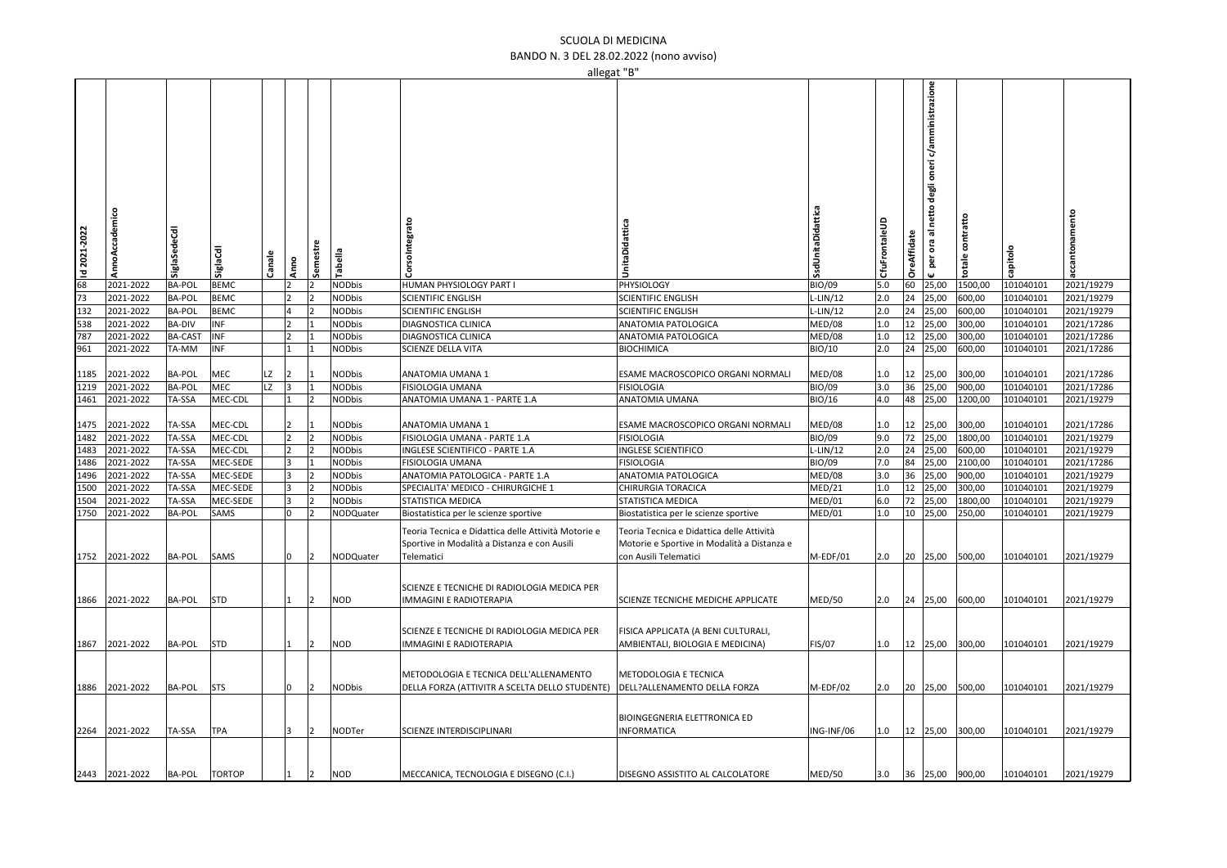## SCUOLA DI MEDICINA BANDO N. 3 DEL 28.02.2022 (nono avviso)

| allegat "B"                                                                                                                                 |                |                |               |        |                |                |               |                                                                                                                   |                                                                                                                   |                 |               |                    |                                                            |                     |           |                    |
|---------------------------------------------------------------------------------------------------------------------------------------------|----------------|----------------|---------------|--------|----------------|----------------|---------------|-------------------------------------------------------------------------------------------------------------------|-------------------------------------------------------------------------------------------------------------------|-----------------|---------------|--------------------|------------------------------------------------------------|---------------------|-----------|--------------------|
| $\frac{1}{2}$ $\frac{1}{2}$ $\frac{1}{2}$ $\frac{1}{2}$ $\frac{1}{2}$ $\frac{1}{2}$ $\frac{1}{2}$ $\frac{1}{2}$ $\frac{1}{2}$ $\frac{1}{2}$ | cademico       | SiglaSedeCdl   | SiglaCdl      | Canale | Ę              | Semestre       | Tabella       | rsoIntegrato                                                                                                      | UnitaDidattica                                                                                                    | SsdUnitaDidatti | CfuFrontaleUD | <b>OreAffidate</b> | c/amministrazione<br>degli oneri<br>netto<br>ᄛ<br>ora<br>ē | contratto<br>totale | apitol    | namento<br>ccantor |
|                                                                                                                                             | 2021-2022      | <b>BA-POL</b>  | <b>BEMC</b>   |        | $\overline{2}$ | $\overline{2}$ | <b>NODbis</b> | HUMAN PHYSIOLOGY PART I                                                                                           | PHYSIOLOGY                                                                                                        | <b>BIO/09</b>   | 5.0           | 60                 | 25,00                                                      | 1500,00             | 101040101 | 2021/19279         |
|                                                                                                                                             | 2021-2022      | <b>BA-POL</b>  | <b>BEMC</b>   |        |                |                | <b>NODbis</b> | <b>SCIENTIFIC ENGLISH</b>                                                                                         | <b>SCIENTIFIC ENGLISH</b>                                                                                         | $L-LIN/12$      | 2.0           |                    | 24 25,00                                                   | 600,00              | 101040101 | 2021/19279         |
| 132                                                                                                                                         | 2021-2022      | <b>BA-POL</b>  | <b>BEMC</b>   |        | 4              |                | <b>NODbis</b> | <b>SCIENTIFIC ENGLISH</b>                                                                                         | <b>SCIENTIFIC ENGLISH</b>                                                                                         | $L-LIN/12$      | 2.0           | 24                 | 25,00                                                      | 600,00              | 101040101 | 2021/19279         |
| 538                                                                                                                                         | 2021-2022      | <b>BA-DIV</b>  | INF           |        | <b>2</b>       |                | <b>NODbis</b> | DIAGNOSTICA CLINICA                                                                                               | ANATOMIA PATOLOGICA                                                                                               | MED/08          | 1.0           | 12                 | 25,00                                                      | 300,00              | 101040101 | 2021/17286         |
| 787                                                                                                                                         | 2021-2022      | <b>BA-CAST</b> | INF           |        | 12             |                | <b>NODbis</b> | DIAGNOSTICA CLINICA                                                                                               | ANATOMIA PATOLOGICA                                                                                               | MED/08          | 1.0           | 12                 | 25,00                                                      | 300,00              | 101040101 | 2021/17286         |
| 961                                                                                                                                         | 2021-2022      | TA-MM          | INF           |        | $\mathbf{1}$   |                | <b>NODbis</b> | SCIENZE DELLA VITA                                                                                                | <b>BIOCHIMICA</b>                                                                                                 | BIO/10          | 2.0           |                    | 24 25,00                                                   | 600,00              | 101040101 | 2021/17286         |
|                                                                                                                                             |                |                |               |        |                |                |               |                                                                                                                   |                                                                                                                   |                 |               |                    |                                                            |                     |           |                    |
| 1185                                                                                                                                        | 2021-2022      | <b>BA-POL</b>  | MEC           | LZ     | 2              |                | NODbis        | ANATOMIA UMANA 1                                                                                                  | ESAME MACROSCOPICO ORGANI NORMALI                                                                                 | MED/08          | 1.0           | 12                 | 25,00                                                      | 300,00              | 101040101 | 2021/17286         |
| 1219                                                                                                                                        | 2021-2022      | BA-POL         | MEC           | LZ     | 3              |                | <b>NODbis</b> | <b>FISIOLOGIA UMANA</b>                                                                                           | <b>FISIOLOGIA</b>                                                                                                 | <b>BIO/09</b>   | 3.0           | 36                 | 25,00                                                      | 900,00              | 101040101 | 2021/17286         |
| 1461                                                                                                                                        | 2021-2022      | TA-SSA         | MEC-CDL       |        | 11             | $\overline{2}$ | <b>NODbis</b> | ANATOMIA UMANA 1 - PARTE 1.A                                                                                      | ANATOMIA UMANA                                                                                                    | <b>BIO/16</b>   | 4.0           | 48                 | 25,00                                                      | 1200,00             | 101040101 | 2021/19279         |
|                                                                                                                                             |                |                |               |        |                |                |               |                                                                                                                   |                                                                                                                   |                 |               |                    |                                                            |                     |           |                    |
| 1475                                                                                                                                        | 2021-2022      | TA-SSA         | MEC-CDL       |        | 2              |                | <b>NODbis</b> | ANATOMIA UMANA 1                                                                                                  | ESAME MACROSCOPICO ORGANI NORMALI                                                                                 | MED/08          | 1.0           | 12                 | 25,00                                                      | 300,00              | 101040101 | 2021/17286         |
| 1482                                                                                                                                        | 2021-2022      | TA-SSA         | MEC-CDL       |        | <b>2</b>       | $\overline{2}$ | <b>NODbis</b> | FISIOLOGIA UMANA - PARTE 1.A                                                                                      | <b>FISIOLOGIA</b>                                                                                                 | <b>BIO/09</b>   | 9.0           | 72                 | 25,00                                                      | 1800,00             | 101040101 | 2021/19279         |
| 1483                                                                                                                                        | 2021-2022      | TA-SSA         | MEC-CDL       |        | $\overline{2}$ |                | <b>NODbis</b> | INGLESE SCIENTIFICO - PARTE 1.A                                                                                   |                                                                                                                   |                 |               |                    |                                                            |                     | 101040101 | 2021/19279         |
|                                                                                                                                             |                |                |               |        |                |                |               |                                                                                                                   | INGLESE SCIENTIFICO                                                                                               | $L-LIN/12$      | 2.0           |                    | 24 25,00                                                   | 600,00              |           |                    |
| 1486                                                                                                                                        | 2021-2022      | TA-SSA         | MEC-SEDE      |        | lз             |                | <b>NODbis</b> | <b>FISIOLOGIA UMANA</b>                                                                                           | <b>FISIOLOGIA</b>                                                                                                 | <b>BIO/09</b>   | 7.0           | 84                 | 25,00                                                      | 2100,00             | 101040101 | 2021/17286         |
| 1496                                                                                                                                        | 2021-2022      | TA-SSA         | MEC-SEDE      |        | 3              | 12             | <b>NODbis</b> | ANATOMIA PATOLOGICA - PARTE 1.A                                                                                   | ANATOMIA PATOLOGICA                                                                                               | MED/08          | 3.0           | 36                 | 25,00                                                      | 900,00              | 101040101 | 2021/19279         |
| 1500                                                                                                                                        | 2021-2022      | TA-SSA         | MEC-SEDE      |        | 13             |                | <b>NODbis</b> | SPECIALITA' MEDICO - CHIRURGICHE 1                                                                                | CHIRURGIA TORACICA                                                                                                | MED/21          | 1.0           |                    | 12 25,00                                                   | 300,00              | 101040101 | 2021/19279         |
| 1504                                                                                                                                        | 2021-2022      | TA-SSA         | MEC-SEDE      |        | 3              |                | <b>NODbis</b> | STATISTICA MEDICA                                                                                                 | STATISTICA MEDICA                                                                                                 | MED/01          | 6.0           | 72                 | 25,00                                                      | 1800,00             | 101040101 | 2021/19279         |
| 1750                                                                                                                                        | 2021-2022      | <b>BA-POL</b>  | SAMS          |        | lo             | 12             | NODQuater     | Biostatistica per le scienze sportive                                                                             | Biostatistica per le scienze sportive                                                                             | MED/01          | 1.0           |                    | 10 25,00                                                   | 250,00              | 101040101 | 2021/19279         |
| 1752                                                                                                                                        | 2021-2022      | BA-POL         | <b>SAMS</b>   |        | 10             | $ 2\rangle$    | NODQuater     | Teoria Tecnica e Didattica delle Attività Motorie e<br>Sportive in Modalità a Distanza e con Ausili<br>Telematici | Teoria Tecnica e Didattica delle Attività<br>Motorie e Sportive in Modalità a Distanza e<br>con Ausili Telematici | M-EDF/01        | 2.0           |                    | 20 25,00                                                   | 500,00              | 101040101 | 2021/19279         |
| 1866                                                                                                                                        | 2021-2022      | BA-POL         | <b>STD</b>    |        | $\mathbf{1}$   | $\vert$ 2      | NOD           | SCIENZE E TECNICHE DI RADIOLOGIA MEDICA PER<br><b>IMMAGINI E RADIOTERAPIA</b>                                     | SCIENZE TECNICHE MEDICHE APPLICATE                                                                                | <b>MED/50</b>   | 2.0           |                    | 24 25,00                                                   | 600,00              | 101040101 | 2021/19279         |
| 1867                                                                                                                                        | 2021-2022      | BA-POL         | <b>STD</b>    |        | 11             | 2              | NOD           | SCIENZE E TECNICHE DI RADIOLOGIA MEDICA PER<br>IMMAGINI E RADIOTERAPIA                                            | FISICA APPLICATA (A BENI CULTURALI,<br>AMBIENTALI, BIOLOGIA E MEDICINA)                                           | <b>FIS/07</b>   | 1.0           |                    | 12 25,00                                                   | 300,00              | 101040101 | 2021/19279         |
| 1886                                                                                                                                        | 2021-2022      | <b>BA-POL</b>  | <b>STS</b>    |        | lo             | 2              | <b>NODbis</b> | METODOLOGIA E TECNICA DELL'ALLENAMENTO<br>DELLA FORZA (ATTIVITR A SCELTA DELLO STUDENTE)                          | METODOLOGIA E TECNICA<br>DELL?ALLENAMENTO DELLA FORZA                                                             | M-EDF/02        | 2.0           |                    | 20 25,00                                                   | 500,00              | 101040101 | 2021/19279         |
| 2264                                                                                                                                        | 2021-2022      | TA-SSA         | <b>TPA</b>    |        | 3              | $ 2\rangle$    | NODTer        | SCIENZE INTERDISCIPLINARI                                                                                         | BIOINGEGNERIA ELETTRONICA ED<br><b>INFORMATICA</b>                                                                | ING-INF/06      | 1.0           |                    |                                                            | 12 25,00 300,00     | 101040101 | 2021/19279         |
|                                                                                                                                             | 2443 2021-2022 | <b>BA-POL</b>  | <b>TORTOP</b> |        |                | 12             | <b>NOD</b>    | MECCANICA, TECNOLOGIA E DISEGNO (C.I.)                                                                            | DISEGNO ASSISTITO AL CALCOLATORE                                                                                  | <b>MED/50</b>   | 3.0           |                    |                                                            | 36 25,00 900,00     | 101040101 | 2021/19279         |